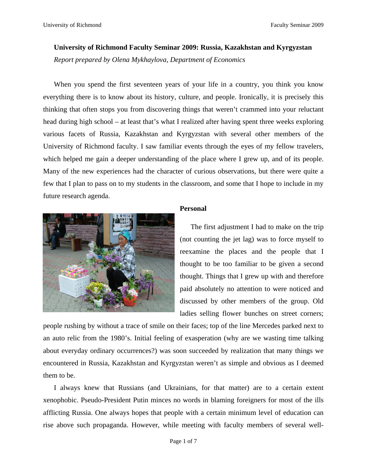## **University of Richmond Faculty Seminar 2009: Russia, Kazakhstan and Kyrgyzstan**

*Report prepared by Olena Mykhaylova, Department of Economics* 

When you spend the first seventeen years of your life in a country, you think you know everything there is to know about its history, culture, and people. Ironically, it is precisely this thinking that often stops you from discovering things that weren't crammed into your reluctant head during high school – at least that's what I realized after having spent three weeks exploring various facets of Russia, Kazakhstan and Kyrgyzstan with several other members of the University of Richmond faculty. I saw familiar events through the eyes of my fellow travelers, which helped me gain a deeper understanding of the place where I grew up, and of its people. Many of the new experiences had the character of curious observations, but there were quite a few that I plan to pass on to my students in the classroom, and some that I hope to include in my future research agenda.



# **Personal**

The first adjustment I had to make on the trip (not counting the jet lag) was to force myself to reexamine the places and the people that I thought to be too familiar to be given a second thought. Things that I grew up with and therefore paid absolutely no attention to were noticed and discussed by other members of the group. Old ladies selling flower bunches on street corners;

people rushing by without a trace of smile on their faces; top of the line Mercedes parked next to an auto relic from the 1980's. Initial feeling of exasperation (why are we wasting time talking about everyday ordinary occurrences?) was soon succeeded by realization that many things we encountered in Russia, Kazakhstan and Kyrgyzstan weren't as simple and obvious as I deemed them to be.

I always knew that Russians (and Ukrainians, for that matter) are to a certain extent xenophobic. Pseudo-President Putin minces no words in blaming foreigners for most of the ills afflicting Russia. One always hopes that people with a certain minimum level of education can rise above such propaganda. However, while meeting with faculty members of several well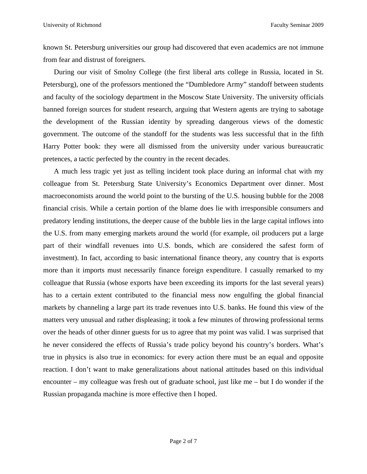known St. Petersburg universities our group had discovered that even academics are not immune from fear and distrust of foreigners.

During our visit of Smolny College (the first liberal arts college in Russia, located in St. Petersburg), one of the professors mentioned the "Dumbledore Army" standoff between students and faculty of the sociology department in the Moscow State University. The university officials banned foreign sources for student research, arguing that Western agents are trying to sabotage the development of the Russian identity by spreading dangerous views of the domestic government. The outcome of the standoff for the students was less successful that in the fifth Harry Potter book: they were all dismissed from the university under various bureaucratic pretences, a tactic perfected by the country in the recent decades.

A much less tragic yet just as telling incident took place during an informal chat with my colleague from St. Petersburg State University's Economics Department over dinner. Most macroeconomists around the world point to the bursting of the U.S. housing bubble for the 2008 financial crisis. While a certain portion of the blame does lie with irresponsible consumers and predatory lending institutions, the deeper cause of the bubble lies in the large capital inflows into the U.S. from many emerging markets around the world (for example, oil producers put a large part of their windfall revenues into U.S. bonds, which are considered the safest form of investment). In fact, according to basic international finance theory, any country that is exports more than it imports must necessarily finance foreign expenditure. I casually remarked to my colleague that Russia (whose exports have been exceeding its imports for the last several years) has to a certain extent contributed to the financial mess now engulfing the global financial markets by channeling a large part its trade revenues into U.S. banks. He found this view of the matters very unusual and rather displeasing; it took a few minutes of throwing professional terms over the heads of other dinner guests for us to agree that my point was valid. I was surprised that he never considered the effects of Russia's trade policy beyond his country's borders. What's true in physics is also true in economics: for every action there must be an equal and opposite reaction. I don't want to make generalizations about national attitudes based on this individual encounter – my colleague was fresh out of graduate school, just like me – but I do wonder if the Russian propaganda machine is more effective then I hoped.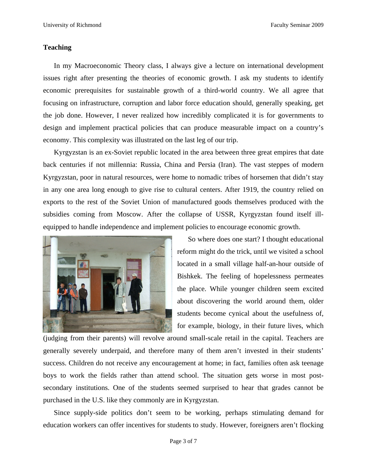## **Teaching**

In my Macroeconomic Theory class, I always give a lecture on international development issues right after presenting the theories of economic growth. I ask my students to identify economic prerequisites for sustainable growth of a third-world country. We all agree that focusing on infrastructure, corruption and labor force education should, generally speaking, get the job done. However, I never realized how incredibly complicated it is for governments to design and implement practical policies that can produce measurable impact on a country's economy. This complexity was illustrated on the last leg of our trip.

Kyrgyzstan is an ex-Soviet republic located in the area between three great empires that date back centuries if not millennia: Russia, China and Persia (Iran). The vast steppes of modern Kyrgyzstan, poor in natural resources, were home to nomadic tribes of horsemen that didn't stay in any one area long enough to give rise to cultural centers. After 1919, the country relied on exports to the rest of the Soviet Union of manufactured goods themselves produced with the subsidies coming from Moscow. After the collapse of USSR, Kyrgyzstan found itself illequipped to handle independence and implement policies to encourage economic growth.



So where does one start? I thought educational reform might do the trick, until we visited a school located in a small village half-an-hour outside of Bishkek. The feeling of hopelessness permeates the place. While younger children seem excited about discovering the world around them, older students become cynical about the usefulness of, for example, biology, in their future lives, which

(judging from their parents) will revolve around small-scale retail in the capital. Teachers are generally severely underpaid, and therefore many of them aren't invested in their students' success. Children do not receive any encouragement at home; in fact, families often ask teenage boys to work the fields rather than attend school. The situation gets worse in most postsecondary institutions. One of the students seemed surprised to hear that grades cannot be purchased in the U.S. like they commonly are in Kyrgyzstan.

Since supply-side politics don't seem to be working, perhaps stimulating demand for education workers can offer incentives for students to study. However, foreigners aren't flocking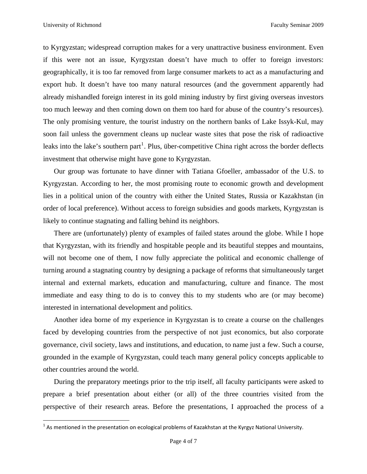to Kyrgyzstan; widespread corruption makes for a very unattractive business environment. Even if this were not an issue, Kyrgyzstan doesn't have much to offer to foreign investors: geographically, it is too far removed from large consumer markets to act as a manufacturing and export hub. It doesn't have too many natural resources (and the government apparently had already mishandled foreign interest in its gold mining industry by first giving overseas investors too much leeway and then coming down on them too hard for abuse of the country's resources). The only promising venture, the tourist industry on the northern banks of Lake Issyk-Kul, may soon fail unless the government cleans up nuclear waste sites that pose the risk of radioactive leaks into the lake's southern part<sup>[1](#page-3-0)</sup>. Plus, über-competitive China right across the border deflects investment that otherwise might have gone to Kyrgyzstan.

Our group was fortunate to have dinner with Tatiana Gfoeller, ambassador of the U.S. to Kyrgyzstan. According to her, the most promising route to economic growth and development lies in a political union of the country with either the United States, Russia or Kazakhstan (in order of local preference). Without access to foreign subsidies and goods markets, Kyrgyzstan is likely to continue stagnating and falling behind its neighbors.

There are (unfortunately) plenty of examples of failed states around the globe. While I hope that Kyrgyzstan, with its friendly and hospitable people and its beautiful steppes and mountains, will not become one of them, I now fully appreciate the political and economic challenge of turning around a stagnating country by designing a package of reforms that simultaneously target internal and external markets, education and manufacturing, culture and finance. The most immediate and easy thing to do is to convey this to my students who are (or may become) interested in international development and politics.

Another idea borne of my experience in Kyrgyzstan is to create a course on the challenges faced by developing countries from the perspective of not just economics, but also corporate governance, civil society, laws and institutions, and education, to name just a few. Such a course, grounded in the example of Kyrgyzstan, could teach many general policy concepts applicable to other countries around the world.

During the preparatory meetings prior to the trip itself, all faculty participants were asked to prepare a brief presentation about either (or all) of the three countries visited from the perspective of their research areas. Before the presentations, I approached the process of a

<span id="page-3-0"></span> $^1$  As mentioned in the presentation on ecological problems of Kazakhstan at the Kyrgyz National University.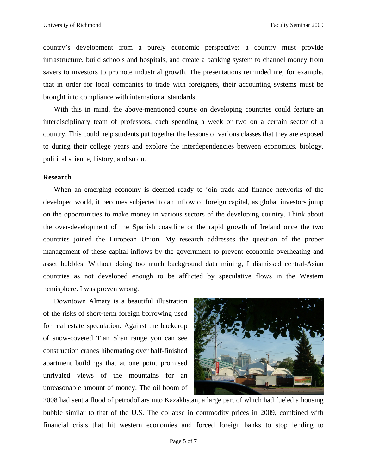country's development from a purely economic perspective: a country must provide infrastructure, build schools and hospitals, and create a banking system to channel money from savers to investors to promote industrial growth. The presentations reminded me, for example, that in order for local companies to trade with foreigners, their accounting systems must be brought into compliance with international standards;

With this in mind, the above-mentioned course on developing countries could feature an interdisciplinary team of professors, each spending a week or two on a certain sector of a country. This could help students put together the lessons of various classes that they are exposed to during their college years and explore the interdependencies between economics, biology, political science, history, and so on.

### **Research**

When an emerging economy is deemed ready to join trade and finance networks of the developed world, it becomes subjected to an inflow of foreign capital, as global investors jump on the opportunities to make money in various sectors of the developing country. Think about the over-development of the Spanish coastline or the rapid growth of Ireland once the two countries joined the European Union. My research addresses the question of the proper management of these capital inflows by the government to prevent economic overheating and asset bubbles. Without doing too much background data mining, I dismissed central-Asian countries as not developed enough to be afflicted by speculative flows in the Western hemisphere. I was proven wrong.

Downtown Almaty is a beautiful illustration of the risks of short-term foreign borrowing used for real estate speculation. Against the backdrop of snow-covered Tian Shan range you can see construction cranes hibernating over half-finished apartment buildings that at one point promised unrivaled views of the mountains for an unreasonable amount of money. The oil boom of



2008 had sent a flood of petrodollars into Kazakhstan, a large part of which had fueled a housing bubble similar to that of the U.S. The collapse in commodity prices in 2009, combined with financial crisis that hit western economies and forced foreign banks to stop lending to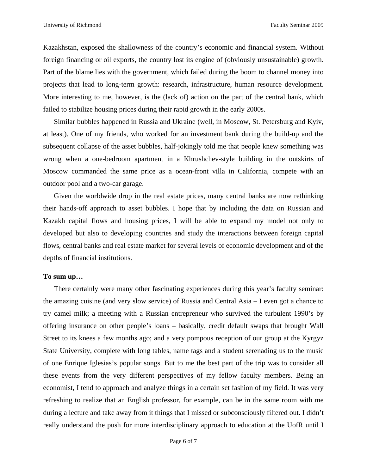Kazakhstan, exposed the shallowness of the country's economic and financial system. Without foreign financing or oil exports, the country lost its engine of (obviously unsustainable) growth. Part of the blame lies with the government, which failed during the boom to channel money into projects that lead to long-term growth: research, infrastructure, human resource development. More interesting to me, however, is the (lack of) action on the part of the central bank, which failed to stabilize housing prices during their rapid growth in the early 2000s.

Similar bubbles happened in Russia and Ukraine (well, in Moscow, St. Petersburg and Kyiv, at least). One of my friends, who worked for an investment bank during the build-up and the subsequent collapse of the asset bubbles, half-jokingly told me that people knew something was wrong when a one-bedroom apartment in a Khrushchev-style building in the outskirts of Moscow commanded the same price as a ocean-front villa in California, compete with an outdoor pool and a two-car garage.

Given the worldwide drop in the real estate prices, many central banks are now rethinking their hands-off approach to asset bubbles. I hope that by including the data on Russian and Kazakh capital flows and housing prices, I will be able to expand my model not only to developed but also to developing countries and study the interactions between foreign capital flows, central banks and real estate market for several levels of economic development and of the depths of financial institutions.

#### **To sum up…**

There certainly were many other fascinating experiences during this year's faculty seminar: the amazing cuisine (and very slow service) of Russia and Central Asia – I even got a chance to try camel milk; a meeting with a Russian entrepreneur who survived the turbulent 1990's by offering insurance on other people's loans – basically, credit default swaps that brought Wall Street to its knees a few months ago; and a very pompous reception of our group at the Kyrgyz State University, complete with long tables, name tags and a student serenading us to the music of one Enrique Iglesias's popular songs. But to me the best part of the trip was to consider all these events from the very different perspectives of my fellow faculty members. Being an economist, I tend to approach and analyze things in a certain set fashion of my field. It was very refreshing to realize that an English professor, for example, can be in the same room with me during a lecture and take away from it things that I missed or subconsciously filtered out. I didn't really understand the push for more interdisciplinary approach to education at the UofR until I